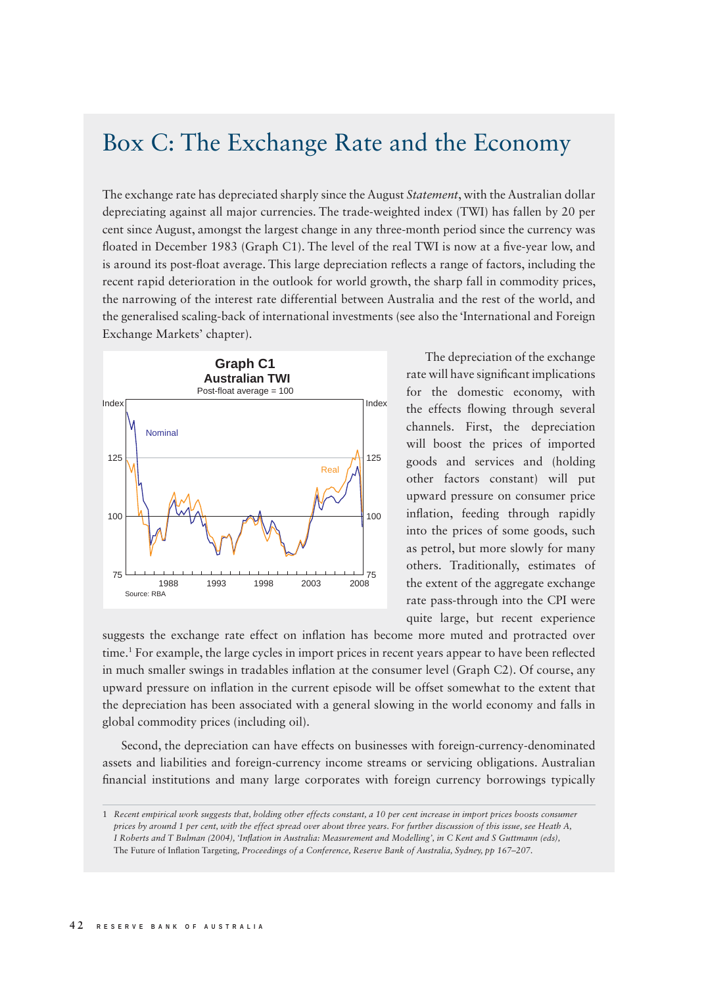## Box C: The Exchange Rate and the Economy

The exchange rate has depreciated sharply since the August *Statement*, with the Australian dollar depreciating against all major currencies. The trade-weighted index (TWI) has fallen by 20 per cent since August, amongst the largest change in any three-month period since the currency was floated in December 1983 (Graph C1). The level of the real TWI is now at a five-year low, and is around its post-float average. This large depreciation reflects a range of factors, including the recent rapid deterioration in the outlook for world growth, the sharp fall in commodity prices, the narrowing of the interest rate differential between Australia and the rest of the world, and the generalised scaling-back of international investments (see also the 'International and Foreign Exchange Markets' chapter).



The depreciation of the exchange rate will have significant implications for the domestic economy, with the effects flowing through several channels. First, the depreciation will boost the prices of imported goods and services and (holding other factors constant) will put upward pressure on consumer price inflation, feeding through rapidly into the prices of some goods, such as petrol, but more slowly for many others. Traditionally, estimates of the extent of the aggregate exchange rate pass-through into the CPI were quite large, but recent experience

suggests the exchange rate effect on inflation has become more muted and protracted over time.<sup>1</sup> For example, the large cycles in import prices in recent years appear to have been reflected in much smaller swings in tradables inflation at the consumer level (Graph C2). Of course, any upward pressure on inflation in the current episode will be offset somewhat to the extent that the depreciation has been associated with a general slowing in the world economy and falls in global commodity prices (including oil).

Second, the depreciation can have effects on businesses with foreign-currency-denominated assets and liabilities and foreign-currency income streams or servicing obligations. Australian financial institutions and many large corporates with foreign currency borrowings typically

<sup>1</sup> *Recent empirical work suggests that, holding other effects constant, a 10 per cent increase in import prices boosts consumer prices by around 1 per cent, with the effect spread over about three years. For further discussion of this issue, see Heath A, I Roberts and T Bulman (2004), 'Infl ation in Australia: Measurement and Modelling', in C Kent and S Guttmann (eds),*  The Future of Inflation Targeting, Proceedings of a Conference, Reserve Bank of Australia, Sydney, pp 167–207.